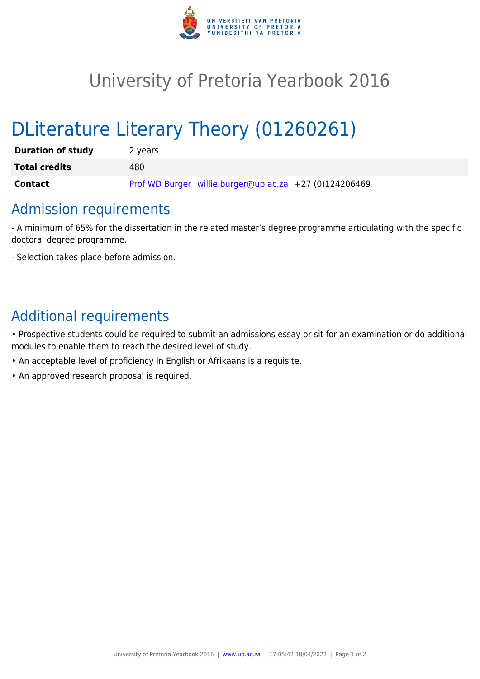

## University of Pretoria Yearbook 2016

# DLiterature Literary Theory (01260261)

| <b>Duration of study</b> | 2 years                                                |
|--------------------------|--------------------------------------------------------|
| <b>Total credits</b>     | 480                                                    |
| <b>Contact</b>           | Prof WD Burger willie.burger@up.ac.za +27 (0)124206469 |

## Admission requirements

- A minimum of 65% for the dissertation in the related master's degree programme articulating with the specific doctoral degree programme.

- Selection takes place before admission.

### Additional requirements

• Prospective students could be required to submit an admissions essay or sit for an examination or do additional modules to enable them to reach the desired level of study.

- An acceptable level of proficiency in English or Afrikaans is a requisite.
- An approved research proposal is required.